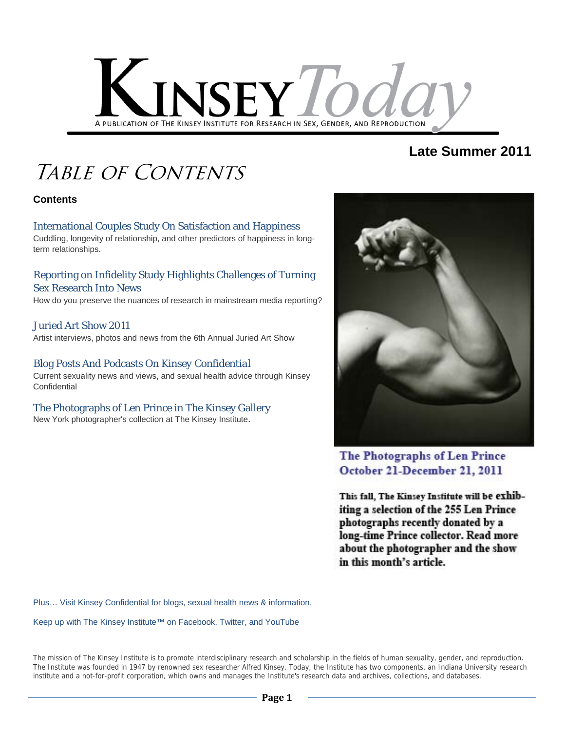

# **Late Summer 2011**

# Table of Contents

#### **Contents**

### International Couples Study On Satisfaction and Happiness

Cuddling, longevity of relationship, and other predictors of happiness in longterm relationships.

#### Reporting on Infidelity Study Highlights Challenges of Turning Sex Research Into News

How do you preserve the nuances of research in mainstream media reporting?

#### Juried Art Show 2011

Artist interviews, photos and news from the 6th Annual Juried Art Show

#### Blog Posts And Podcasts On *Kinsey Confidential*

Current sexuality news and views, and sexual health advice through Kinsey **Confidential** 

#### The Photographs of Len Prince in The Kinsey Gallery

New York photographer's collection at The Kinsey Institute.



The Photographs of Len Prince October 21-December 21, 2011

This fall, The Kinsey Institute will be exhibiting a selection of the 255 Len Prince photographs recently donated by a long-time Prince collector. Read more about the photographer and the show in this month's article.

Plus… Visit Kinsey Confidential for blogs, sexual health news & information.

Keep up with The Kinsey Institute™ on Facebook, Twitter, and YouTube

The mission of The Kinsey Institute is to promote interdisciplinary research and scholarship in the fields of human sexuality, gender, and reproduction. The Institute was founded in 1947 by renowned sex researcher Alfred Kinsey. Today, the Institute has two components, an Indiana University research institute and a not-for-profit corporation, which owns and manages the Institute's research data and archives, collections, and databases.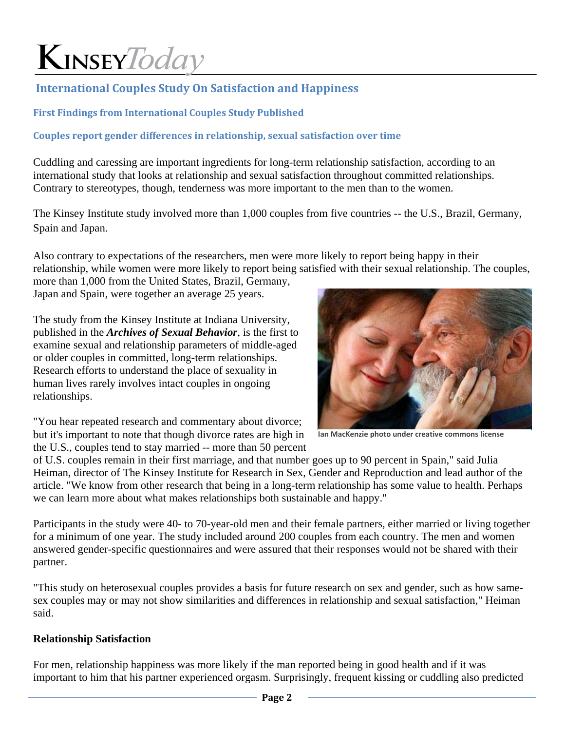# **International Couples Study On Satisfaction and Happiness**

### **First Findings from International Couples Study Published**

### **Couples report gender differences in relationship, sexual satisfaction over time**

Cuddling and caressing are important ingredients for long-term relationship satisfaction, according to an international study that looks at relationship and sexual satisfaction throughout committed relationships. Contrary to stereotypes, though, tenderness was more important to the men than to the women.

The Kinsey Institute study involved more than 1,000 couples from five countries -- the U.S., Brazil, Germany, Spain and Japan.

Also contrary to expectations of the researchers, men were more likely to report being happy in their relationship, while women were more likely to report being satisfied with their sexual relationship. The couples,

more than 1,000 from the United States, Brazil, Germany, Japan and Spain, were together an average 25 years.

The study from the Kinsey Institute at Indiana University, published in the *Archives of Sexual Behavior*, is the first to examine sexual and relationship parameters of middle-aged or older couples in committed, long-term relationships. Research efforts to understand the place of sexuality in human lives rarely involves intact couples in ongoing relationships.



**Ian MacKenzie photo under creative commons license**

"You hear repeated research and commentary about divorce; but it's important to note that though divorce rates are high in the U.S., couples tend to stay married -- more than 50 percent

of U.S. couples remain in their first marriage, and that number goes up to 90 percent in Spain," said Julia Heiman, director of The Kinsey Institute for Research in Sex, Gender and Reproduction and lead author of the article. "We know from other research that being in a long-term relationship has some value to health. Perhaps we can learn more about what makes relationships both sustainable and happy."

Participants in the study were 40- to 70-year-old men and their female partners, either married or living together for a minimum of one year. The study included around 200 couples from each country. The men and women answered gender-specific questionnaires and were assured that their responses would not be shared with their partner.

"This study on heterosexual couples provides a basis for future research on sex and gender, such as how samesex couples may or may not show similarities and differences in relationship and sexual satisfaction," Heiman said.

#### **Relationship Satisfaction**

For men, relationship happiness was more likely if the man reported being in good health and if it was important to him that his partner experienced orgasm. Surprisingly, frequent kissing or cuddling also predicted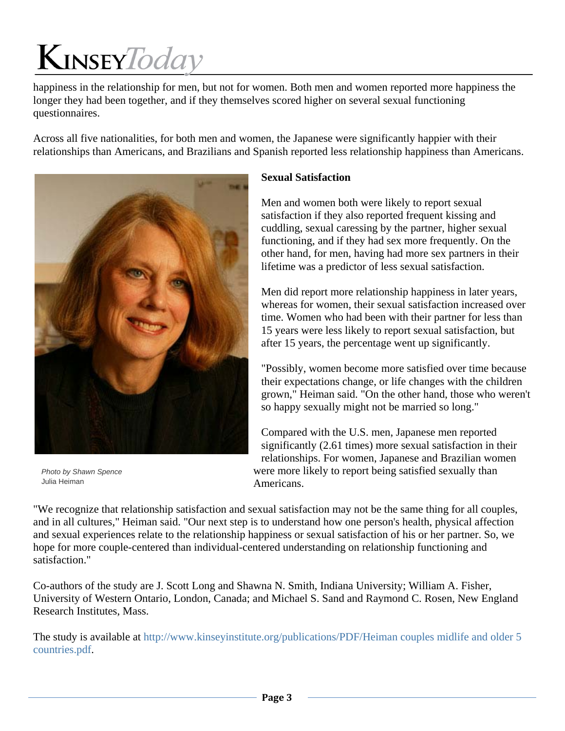happiness in the relationship for men, but not for women. Both men and women reported more happiness the longer they had been together, and if they themselves scored higher on several sexual functioning questionnaires.

Across all five nationalities, for both men and women, the Japanese were significantly happier with their relationships than Americans, and Brazilians and Spanish reported less relationship happiness than Americans.



*Photo by Shawn Spence* Julia Heiman

### **Sexual Satisfaction**

Men and women both were likely to report sexual satisfaction if they also reported frequent kissing and cuddling, sexual caressing by the partner, higher sexual functioning, and if they had sex more frequently. On the other hand, for men, having had more sex partners in their lifetime was a predictor of less sexual satisfaction.

Men did report more relationship happiness in later years, whereas for women, their sexual satisfaction increased over time. Women who had been with their partner for less than 15 years were less likely to report sexual satisfaction, but after 15 years, the percentage went up significantly.

"Possibly, women become more satisfied over time because their expectations change, or life changes with the children grown," Heiman said. "On the other hand, those who weren't so happy sexually might not be married so long."

Compared with the U.S. men, Japanese men reported significantly (2.61 times) more sexual satisfaction in their relationships. For women, Japanese and Brazilian women were more likely to report being satisfied sexually than Americans.

"We recognize that relationship satisfaction and sexual satisfaction may not be the same thing for all couples, and in all cultures," Heiman said. "Our next step is to understand how one person's health, physical affection and sexual experiences relate to the relationship happiness or sexual satisfaction of his or her partner. So, we hope for more couple-centered than individual-centered understanding on relationship functioning and satisfaction."

Co-authors of the study are J. Scott Long and Shawna N. Smith, Indiana University; William A. Fisher, University of Western Ontario, London, Canada; and Michael S. Sand and Raymond C. Rosen, New England Research Institutes, Mass.

The study is available at http://www.kinseyinstitute.org/publications/PDF/Heiman couples midlife and older 5 countries.pdf.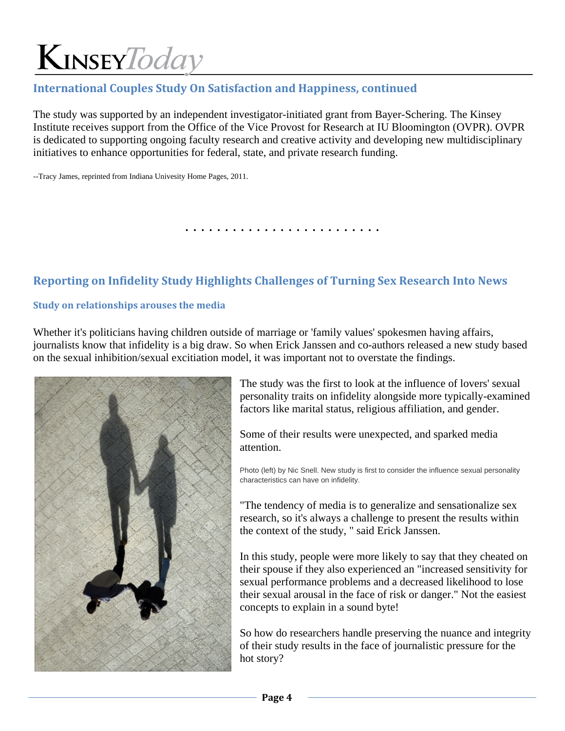## **International Couples Study On Satisfaction and Happiness, continued**

The study was supported by an independent investigator-initiated grant from Bayer-Schering. The Kinsey Institute receives support from the Office of the Vice Provost for Research at IU Bloomington (OVPR). OVPR is dedicated to supporting ongoing faculty research and creative activity and developing new multidisciplinary initiatives to enhance opportunities for federal, state, and private research funding.

--Tracy James, reprinted from Indiana Univesity Home Pages, 2011.

. . . . . . . . . . . . . . . . . . . . . . . . .

### **Reporting on Infidelity Study Highlights Challenges of Turning Sex Research Into News**

#### **Study on relationships arouses the media**

Whether it's politicians having children outside of marriage or 'family values' spokesmen having affairs, journalists know that infidelity is a big draw. So when Erick Janssen and co-authors released a new study based on the sexual inhibition/sexual excitiation model, it was important not to overstate the findings.



The study was the first to look at the influence of lovers' sexual personality traits on infidelity alongside more typically-examined factors like marital status, religious affiliation, and gender.

Some of their results were unexpected, and sparked media attention.

Photo (left) by Nic Snell. New study is first to consider the influence sexual personality characteristics can have on infidelity.

"The tendency of media is to generalize and sensationalize sex research, so it's always a challenge to present the results within the context of the study, " said Erick Janssen.

In this study, people were more likely to say that they cheated on their spouse if they also experienced an "increased sensitivity for sexual performance problems and a decreased likelihood to lose their sexual arousal in the face of risk or danger." Not the easiest concepts to explain in a sound byte!

So how do researchers handle preserving the nuance and integrity of their study results in the face of journalistic pressure for the hot story?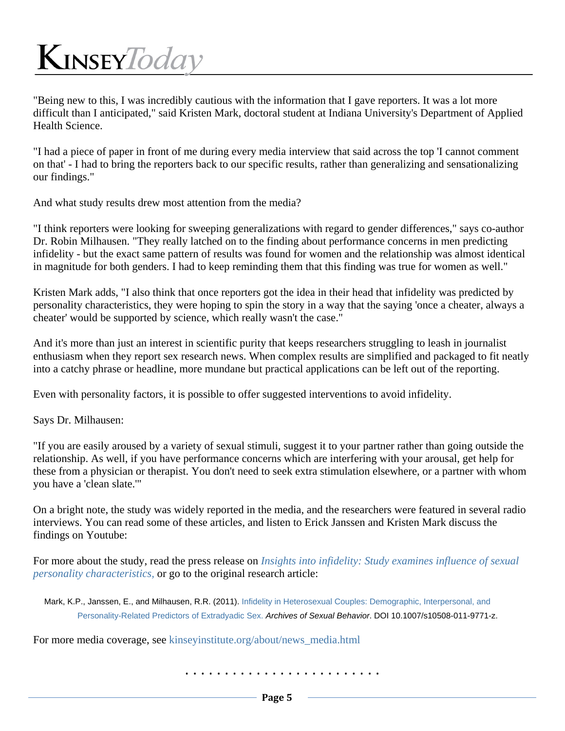"Being new to this, I was incredibly cautious with the information that I gave reporters. It was a lot more difficult than I anticipated," said Kristen Mark, doctoral student at Indiana University's Department of Applied Health Science.

"I had a piece of paper in front of me during every media interview that said across the top 'I cannot comment on that' - I had to bring the reporters back to our specific results, rather than generalizing and sensationalizing our findings."

And what study results drew most attention from the media?

"I think reporters were looking for sweeping generalizations with regard to gender differences," says co-author Dr. Robin Milhausen. "They really latched on to the finding about performance concerns in men predicting infidelity - but the exact same pattern of results was found for women and the relationship was almost identical in magnitude for both genders. I had to keep reminding them that this finding was true for women as well."

Kristen Mark adds, "I also think that once reporters got the idea in their head that infidelity was predicted by personality characteristics, they were hoping to spin the story in a way that the saying 'once a cheater, always a cheater' would be supported by science, which really wasn't the case."

And it's more than just an interest in scientific purity that keeps researchers struggling to leash in journalist enthusiasm when they report sex research news. When complex results are simplified and packaged to fit neatly into a catchy phrase or headline, more mundane but practical applications can be left out of the reporting.

Even with personality factors, it is possible to offer suggested interventions to avoid infidelity.

Says Dr. Milhausen:

"If you are easily aroused by a variety of sexual stimuli, suggest it to your partner rather than going outside the relationship. As well, if you have performance concerns which are interfering with your arousal, get help for these from a physician or therapist. You don't need to seek extra stimulation elsewhere, or a partner with whom you have a 'clean slate.'"

On a bright note, the study was widely reported in the media, and the researchers were featured in several radio interviews. You can read some of these articles, and listen to Erick Janssen and Kristen Mark discuss the findings on Youtube:

For more about the study, read the press release on *Insights into infidelity: Study examines influence of sexual personality characteristics,* or go to the original research article:

Mark, K.P., Janssen, E., and Milhausen, R.R. (2011). Infidelity in Heterosexual Couples: Demographic, Interpersonal, and Personality-Related Predictors of Extradyadic Sex. *Archives of Sexual Behavior*. DOI 10.1007/s10508-011-9771-z.

For more media coverage, see kinseyinstitute.org/about/news\_media.html

. . . . . . . . . . . . . . . . . . . . . . . . .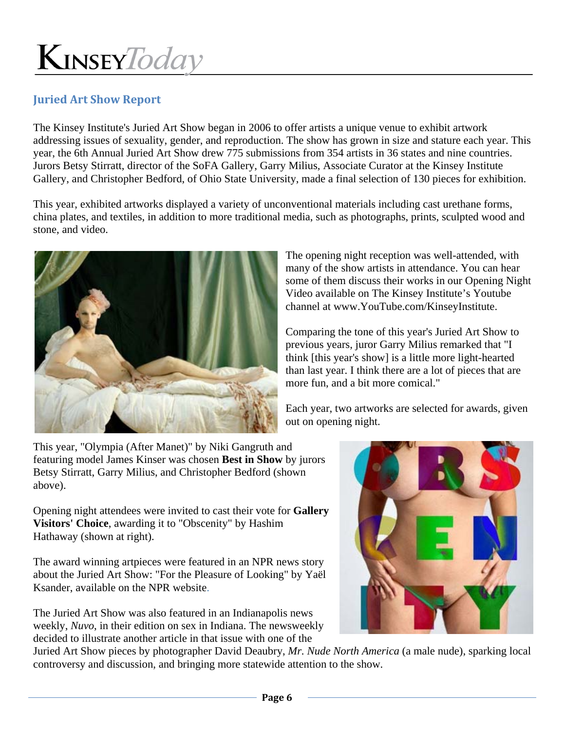### **Juried Art Show Report**

The Kinsey Institute's Juried Art Show began in 2006 to offer artists a unique venue to exhibit artwork addressing issues of sexuality, gender, and reproduction. The show has grown in size and stature each year. This year, the 6th Annual Juried Art Show drew 775 submissions from 354 artists in 36 states and nine countries. Jurors Betsy Stirratt, director of the SoFA Gallery, Garry Milius, Associate Curator at the Kinsey Institute Gallery, and Christopher Bedford, of Ohio State University, made a final selection of 130 pieces for exhibition.

This year, exhibited artworks displayed a variety of unconventional materials including cast urethane forms, china plates, and textiles, in addition to more traditional media, such as photographs, prints, sculpted wood and stone, and video.



The opening night reception was well-attended, with many of the show artists in attendance. You can hear some of them discuss their works in our Opening Night Video available on The Kinsey Institute's Youtube channel at www.YouTube.com/KinseyInstitute.

Comparing the tone of this year's Juried Art Show to previous years, juror Garry Milius remarked that "I think [this year's show] is a little more light-hearted than last year. I think there are a lot of pieces that are more fun, and a bit more comical."

Each year, two artworks are selected for awards, given out on opening night.

This year, "Olympia (After Manet)" by Niki Gangruth and featuring model James Kinser was chosen **Best in Show** by jurors Betsy Stirratt, Garry Milius, and Christopher Bedford (shown above).

Opening night attendees were invited to cast their vote for **Gallery Visitors' Choice**, awarding it to "Obscenity" by Hashim Hathaway (shown at right).

The award winning artpieces were featured in an NPR news story about the Juried Art Show: "For the Pleasure of Looking" by Yaël Ksander, available on the NPR website.

The Juried Art Show was also featured in an Indianapolis news weekly, *Nuvo*, in their edition on sex in Indiana. The newsweekly decided to illustrate another article in that issue with one of the



Juried Art Show pieces by photographer David Deaubry, *Mr. Nude North America* (a male nude), sparking local controversy and discussion, and bringing more statewide attention to the show.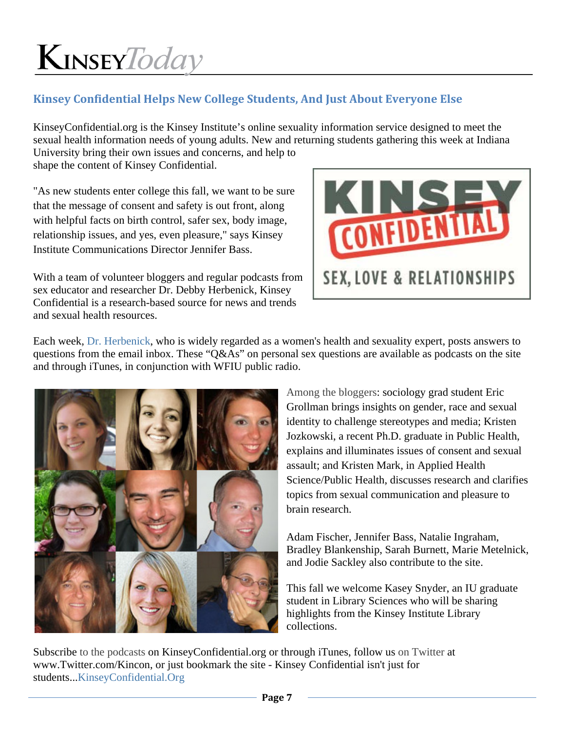### **Kinsey Confidential Helps New College Students, And Just About Everyone Else**

KinseyConfidential.org is the Kinsey Institute's online sexuality information service designed to meet the sexual health information needs of young adults. New and returning students gathering this week at Indiana University bring their own issues and concerns, and help to

shape the content of Kinsey Confidential.

"As new students enter college this fall, we want to be sure that the message of consent and safety is out front, along with helpful facts on birth control, safer sex, body image, relationship issues, and yes, even pleasure," says Kinsey Institute Communications Director Jennifer Bass.

With a team of volunteer bloggers and regular podcasts from sex educator and researcher Dr. Debby Herbenick, Kinsey Confidential is a research-based source for news and trends and sexual health resources.



Each week, Dr. Herbenick, who is widely regarded as a women's health and sexuality expert, posts answers to questions from the email inbox. These "Q&As" on personal sex questions are available as podcasts on the site and through iTunes, in conjunction with WFIU public radio.



Among the bloggers: sociology grad student Eric Grollman brings insights on gender, race and sexual identity to challenge stereotypes and media; Kristen Jozkowski, a recent Ph.D. graduate in Public Health, explains and illuminates issues of consent and sexual assault; and Kristen Mark, in Applied Health Science/Public Health, discusses research and clarifies topics from sexual communication and pleasure to brain research.

Adam Fischer, Jennifer Bass, Natalie Ingraham, Bradley Blankenship, Sarah Burnett, Marie Metelnick, and Jodie Sackley also contribute to the site.

This fall we welcome Kasey Snyder, an IU graduate student in Library Sciences who will be sharing highlights from the Kinsey Institute Library collections.

Subscribe to the podcasts on KinseyConfidential.org or through iTunes, follow us on Twitter at www.Twitter.com/Kincon, or just bookmark the site - Kinsey Confidential isn't just for students...KinseyConfidential.Org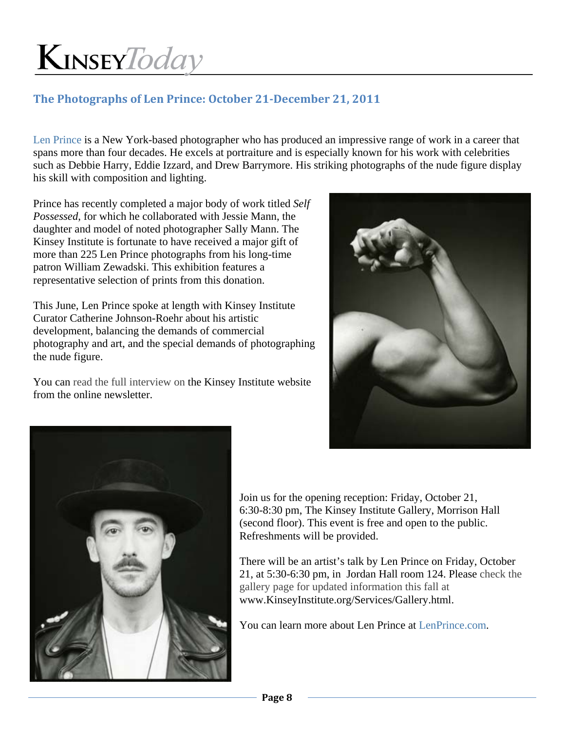### **The Photographs of Len Prince: October 21‐December 21, 2011**

Len Prince is a New York-based photographer who has produced an impressive range of work in a career that spans more than four decades. He excels at portraiture and is especially known for his work with celebrities such as Debbie Harry, Eddie Izzard, and Drew Barrymore. His striking photographs of the nude figure display his skill with composition and lighting.

Prince has recently completed a major body of work titled *Self Possessed*, for which he collaborated with Jessie Mann, the daughter and model of noted photographer Sally Mann. The Kinsey Institute is fortunate to have received a major gift of more than 225 Len Prince photographs from his long-time patron William Zewadski. This exhibition features a representative selection of prints from this donation.

This June, Len Prince spoke at length with Kinsey Institute Curator Catherine Johnson-Roehr about his artistic development, balancing the demands of commercial photography and art, and the special demands of photographing the nude figure.

You can read the full interview on the Kinsey Institute website from the online newsletter.





Join us for the opening reception: Friday, October 21, 6:30-8:30 pm, The Kinsey Institute Gallery, Morrison Hall (second floor). This event is free and open to the public. Refreshments will be provided.

There will be an artist's talk by Len Prince on Friday, October 21, at 5:30-6:30 pm, in Jordan Hall room 124. Please check the gallery page for updated information this fall at www.KinseyInstitute.org/Services/Gallery.html.

You can learn more about Len Prince at LenPrince.com.